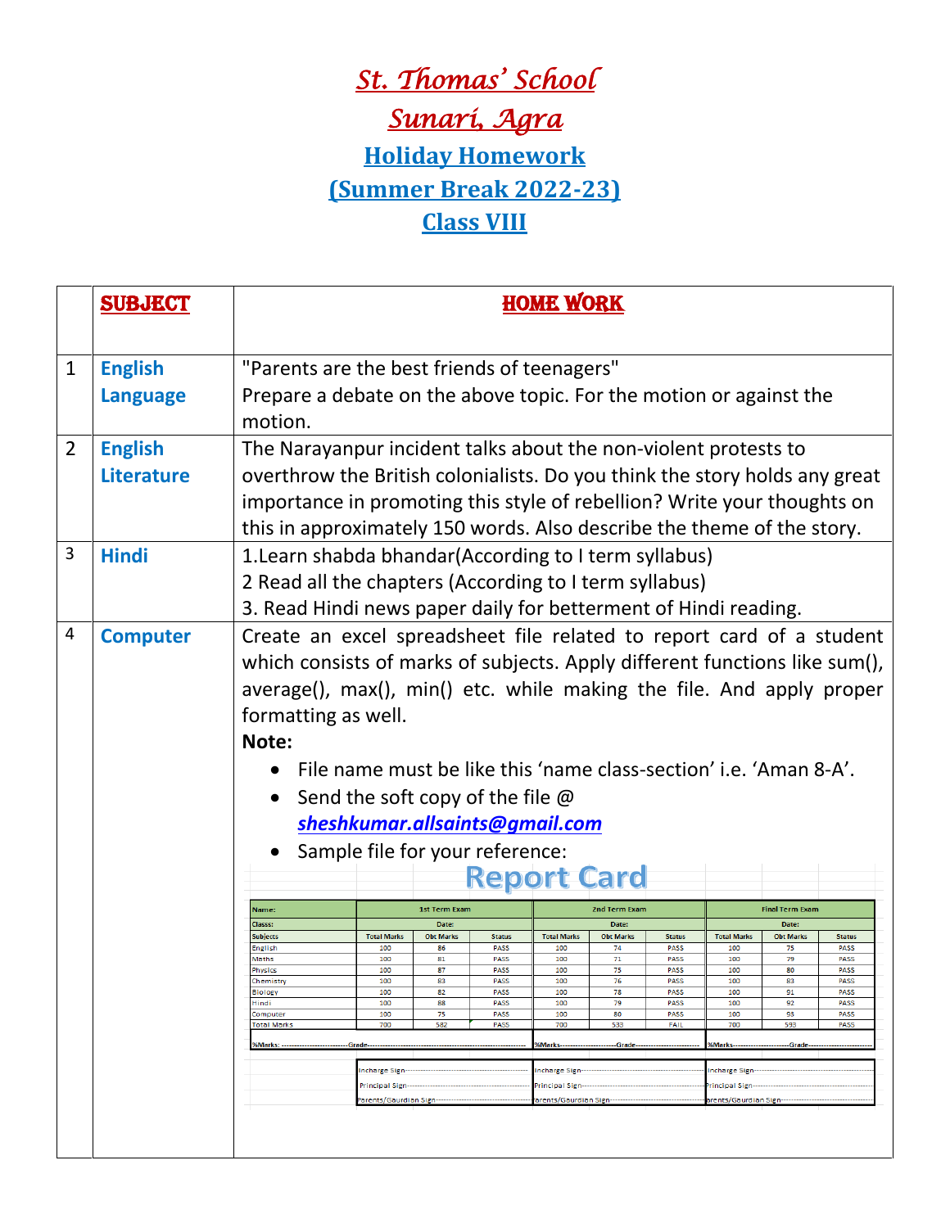## *St. Thomas' School Sunari, Agra*  **Holiday Homework (Summer Break 2022-23) Class VIII**

|                | <b>SUBJECT</b>    | <b>HOME WORK</b>                                                              |                                                               |                  |                            |                                                                      |                  |                                 |                    |                  |                     |  |
|----------------|-------------------|-------------------------------------------------------------------------------|---------------------------------------------------------------|------------------|----------------------------|----------------------------------------------------------------------|------------------|---------------------------------|--------------------|------------------|---------------------|--|
| $\mathbf{1}$   | <b>English</b>    | "Parents are the best friends of teenagers"                                   |                                                               |                  |                            |                                                                      |                  |                                 |                    |                  |                     |  |
|                | <b>Language</b>   | Prepare a debate on the above topic. For the motion or against the<br>motion. |                                                               |                  |                            |                                                                      |                  |                                 |                    |                  |                     |  |
| $\overline{2}$ | <b>English</b>    | The Narayanpur incident talks about the non-violent protests to               |                                                               |                  |                            |                                                                      |                  |                                 |                    |                  |                     |  |
|                | <b>Literature</b> | overthrow the British colonialists. Do you think the story holds any great    |                                                               |                  |                            |                                                                      |                  |                                 |                    |                  |                     |  |
|                |                   | importance in promoting this style of rebellion? Write your thoughts on       |                                                               |                  |                            |                                                                      |                  |                                 |                    |                  |                     |  |
|                |                   | this in approximately 150 words. Also describe the theme of the story.        |                                                               |                  |                            |                                                                      |                  |                                 |                    |                  |                     |  |
| 3              | <b>Hindi</b>      | 1. Learn shabda bhandar (According to I term syllabus)                        |                                                               |                  |                            |                                                                      |                  |                                 |                    |                  |                     |  |
|                |                   | 2 Read all the chapters (According to I term syllabus)                        |                                                               |                  |                            |                                                                      |                  |                                 |                    |                  |                     |  |
|                |                   | 3. Read Hindi news paper daily for betterment of Hindi reading.               |                                                               |                  |                            |                                                                      |                  |                                 |                    |                  |                     |  |
| 4              | <b>Computer</b>   | Create an excel spreadsheet file related to report card of a student          |                                                               |                  |                            |                                                                      |                  |                                 |                    |                  |                     |  |
|                |                   | which consists of marks of subjects. Apply different functions like sum(),    |                                                               |                  |                            |                                                                      |                  |                                 |                    |                  |                     |  |
|                |                   | average(), max(), min() etc. while making the file. And apply proper          |                                                               |                  |                            |                                                                      |                  |                                 |                    |                  |                     |  |
|                |                   | formatting as well.                                                           |                                                               |                  |                            |                                                                      |                  |                                 |                    |                  |                     |  |
|                |                   | Note:                                                                         |                                                               |                  |                            |                                                                      |                  |                                 |                    |                  |                     |  |
|                |                   | File name must be like this 'name class-section' i.e. 'Aman 8-A'.             |                                                               |                  |                            |                                                                      |                  |                                 |                    |                  |                     |  |
|                |                   | Send the soft copy of the file $\varnothing$                                  |                                                               |                  |                            |                                                                      |                  |                                 |                    |                  |                     |  |
|                |                   | sheshkumar.allsaints@gmail.com                                                |                                                               |                  |                            |                                                                      |                  |                                 |                    |                  |                     |  |
|                |                   |                                                                               | Sample file for your reference:                               |                  |                            |                                                                      |                  |                                 |                    |                  |                     |  |
|                |                   |                                                                               |                                                               |                  |                            | <b>Report Card</b>                                                   |                  |                                 |                    |                  |                     |  |
|                |                   | Name:<br>Classs:                                                              | <b>1st Term Exam</b><br>Date:                                 |                  | 2nd Term Exam<br>Date:     |                                                                      |                  | <b>Final Term Exam</b><br>Date: |                    |                  |                     |  |
|                |                   | Subjects                                                                      | <b>Total Marks</b>                                            | <b>Obt Marks</b> | <b>Status</b>              | <b>Total Marks</b>                                                   | <b>Obt Marks</b> | <b>Status</b>                   | <b>Total Marks</b> | <b>Obt Marks</b> | <b>Status</b>       |  |
|                |                   | <b>English</b><br>Maths                                                       | 100<br>100                                                    | 86<br>81         | <b>PASS</b><br><b>PASS</b> | 100<br>100                                                           | 74<br>71         | <b>PASS</b><br>PASS             | 100<br>100         | 75<br>79         | PASS<br>PASS        |  |
|                |                   | Physics<br>nemistry                                                           | 100<br>100                                                    | 87<br>83         | PASS<br>PASS               | 100<br>1UU                                                           | 75<br>76         | PASS<br><b>PASS</b>             | 100<br>10U         | 80<br>85         | PASS<br><b>PASS</b> |  |
|                |                   | <b>Biology</b>                                                                | 100                                                           | 82               | <b>PASS</b>                | 100                                                                  | 78               | PASS                            | 100                | 91               | PASS                |  |
|                |                   | Hindi<br>Computer                                                             | 100<br>100                                                    | 88<br>75         | PASS<br>PASS               | 100<br>100                                                           | 79<br>80         | PASS<br>PASS                    | 100<br>100         | 92<br>93         | PASS<br><b>PASS</b> |  |
|                |                   | <b>Total Marks</b>                                                            | 700                                                           | 582              | PASS                       | 700                                                                  | 533              | <b>FAIL</b>                     | 700                | 593              | PASS                |  |
|                |                   | %Marks:                                                                       | <b>%Marks</b><br><b>%Marks-</b><br>-Grade<br>-Grade<br>-Grade |                  |                            |                                                                      |                  |                                 |                    |                  |                     |  |
|                |                   |                                                                               | Incharge Sign---                                              |                  |                            | Incharge Sign---                                                     |                  |                                 | Incharge Sign--    |                  |                     |  |
|                |                   |                                                                               | Principal Sign-                                               |                  |                            | Principal Sign-                                                      |                  |                                 |                    | Principal Sign-  |                     |  |
|                |                   |                                                                               | Parents/Gaurdian Sign--------------                           |                  |                            | arents/Gaurdian Sign---------------<br>arents/Gaurdian Sign--------- |                  |                                 |                    |                  |                     |  |
|                |                   |                                                                               |                                                               |                  |                            |                                                                      |                  |                                 |                    |                  |                     |  |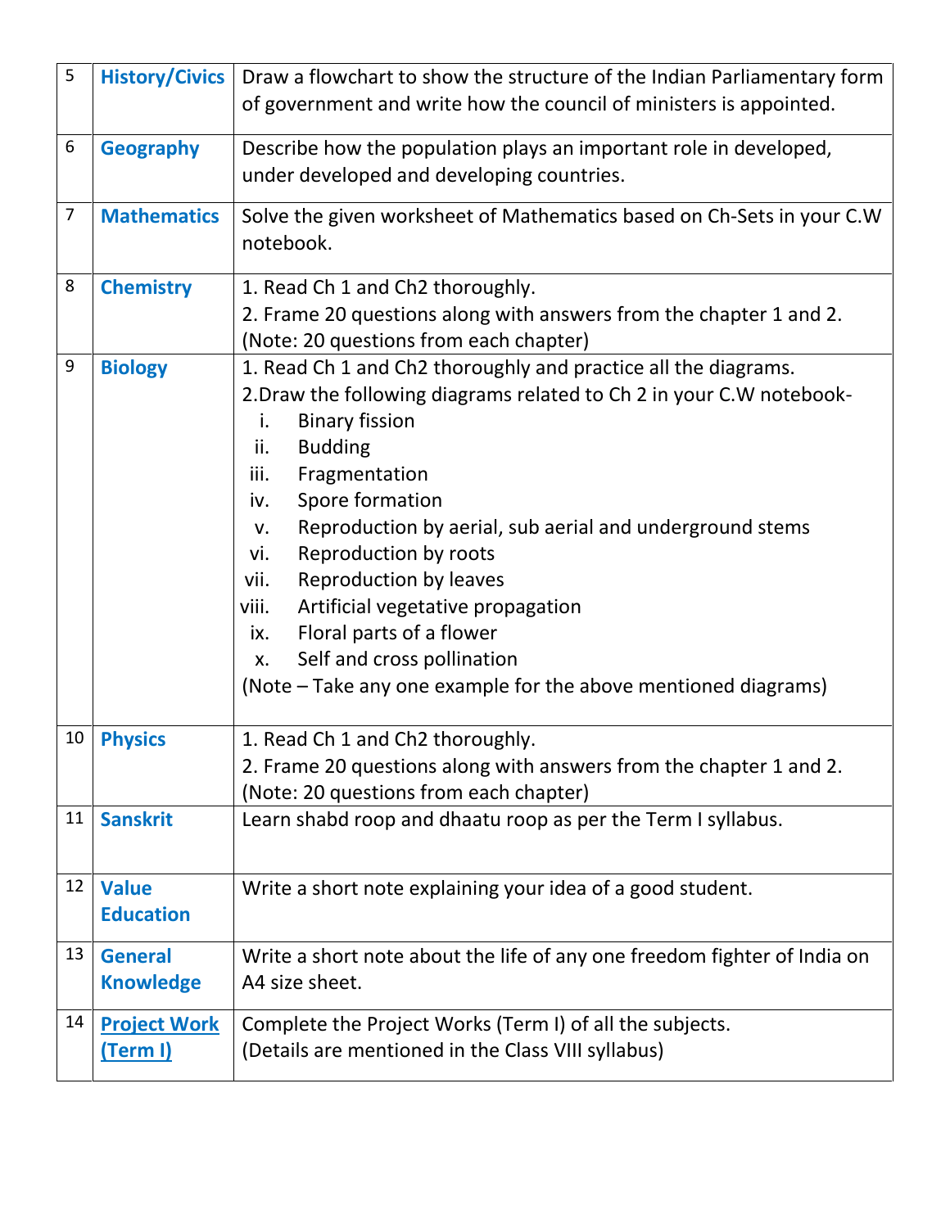| 5              | <b>History/Civics</b>                  | Draw a flowchart to show the structure of the Indian Parliamentary form<br>of government and write how the council of ministers is appointed.                                                                                                                                                                                                                                                                                                                                                                                                                                 |  |  |  |
|----------------|----------------------------------------|-------------------------------------------------------------------------------------------------------------------------------------------------------------------------------------------------------------------------------------------------------------------------------------------------------------------------------------------------------------------------------------------------------------------------------------------------------------------------------------------------------------------------------------------------------------------------------|--|--|--|
| 6              | <b>Geography</b>                       | Describe how the population plays an important role in developed,<br>under developed and developing countries.                                                                                                                                                                                                                                                                                                                                                                                                                                                                |  |  |  |
| $\overline{7}$ | <b>Mathematics</b>                     | Solve the given worksheet of Mathematics based on Ch-Sets in your C.W<br>notebook.                                                                                                                                                                                                                                                                                                                                                                                                                                                                                            |  |  |  |
| 8              | <b>Chemistry</b>                       | 1. Read Ch 1 and Ch2 thoroughly.<br>2. Frame 20 questions along with answers from the chapter 1 and 2.<br>(Note: 20 questions from each chapter)                                                                                                                                                                                                                                                                                                                                                                                                                              |  |  |  |
| 9              | <b>Biology</b>                         | 1. Read Ch 1 and Ch2 thoroughly and practice all the diagrams.<br>2. Draw the following diagrams related to Ch 2 in your C. W notebook-<br><b>Binary fission</b><br>i.<br><b>Budding</b><br>ii.<br>Fragmentation<br>iii.<br>Spore formation<br>iv.<br>Reproduction by aerial, sub aerial and underground stems<br>v.<br>Reproduction by roots<br>vi.<br>Reproduction by leaves<br>vii.<br>Artificial vegetative propagation<br>viii.<br>Floral parts of a flower<br>ix.<br>Self and cross pollination<br>X.<br>(Note – Take any one example for the above mentioned diagrams) |  |  |  |
| 10             | <b>Physics</b>                         | 1. Read Ch 1 and Ch2 thoroughly.<br>2. Frame 20 questions along with answers from the chapter 1 and 2.<br>(Note: 20 questions from each chapter)                                                                                                                                                                                                                                                                                                                                                                                                                              |  |  |  |
| 11             | <b>Sanskrit</b>                        | Learn shabd roop and dhaatu roop as per the Term I syllabus.                                                                                                                                                                                                                                                                                                                                                                                                                                                                                                                  |  |  |  |
| 12             | <b>Value</b><br><b>Education</b>       | Write a short note explaining your idea of a good student.                                                                                                                                                                                                                                                                                                                                                                                                                                                                                                                    |  |  |  |
| 13             | <b>General</b><br><b>Knowledge</b>     | Write a short note about the life of any one freedom fighter of India on<br>A4 size sheet.                                                                                                                                                                                                                                                                                                                                                                                                                                                                                    |  |  |  |
| 14             | <b>Project Work</b><br><u>(Term I)</u> | Complete the Project Works (Term I) of all the subjects.<br>(Details are mentioned in the Class VIII syllabus)                                                                                                                                                                                                                                                                                                                                                                                                                                                                |  |  |  |